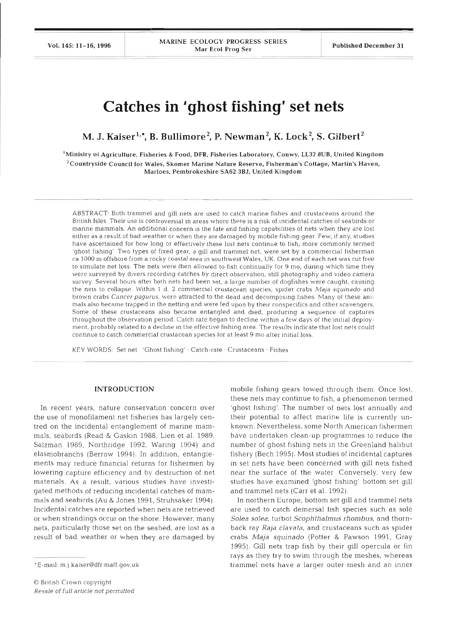Vol. 145: 11-16, 1996

MARINE ECOLOGY PROGRESS SERIES Mar Ecol Prog Ser Published December 31

# **Catches in 'ghost fishing' set nets**

M. J. Kaiser<sup>1,\*</sup>, B. Bullimore<sup>2</sup>, P. Newman<sup>2</sup>, K. Lock<sup>2</sup>, S. Gilbert<sup>2</sup>

'Ministry of Agriculture, Fisheries & Food, DFR, Fisheries Laboratory, Conwy, LL32 8UB, United Kingdom  $2$ Countryside Council for Wales, Skomer Marine Nature Reserve, Fisherman's Cottage, Martin's Haven, Marloes, Pembrokeshire **SA62 3BJ,** United Kingdom

ABSTRACT Both trammel and gill nets are used to catch marine fishes and crustaceans around the British Isles. Their use is controversial in areas where there is a risk of incidental catches of seabirds o marine mammals. An additional concern is the fate and fishing capabilities of nets when they are lost either as a result of bad weather or when they are damaged by mobile fishing gear. Few, if any, studies have ascertained for how long or effectively these lost nets continue to fish, more commonly termed 'ghost fishing' Two types of fixed gear, a gill and trammel net, were set by a commercial fisherman ca 1000 m offshore from a rocky coastal area in southwest Wales, UK. One end of each net was cut free to simulate net loss. The nets were then allowed to fish continually for 9 mo, during which time they were surveyed by divers recording catches by direct observation, still photography and video camera survey. Several hours after both nets had been set, a large number of dogfishes were caught, causing the nets to collapse. Within 1 d, 2 commercial crustacean species, spider crabs Maja squinado and brown crabs Cancer pagurus, were attracted to the dead and decomposing fishes. Many of these animals also became trapped in the netting and were fed upon by their conspecifics and other scavengers. Some of these crustaceans also became entangled and died, producing a sequence of captures throughout the observation period. Catch rate began to decline within a few days of the initial deployment, probably related to a decline in the effective fishing area. The results indicate that lost nets could continue to catch commercial crustacean species for at least 9 mo after initial loss.

KEY WORDS: Set net 'Ghost fishing' · Catch-rate · Crustaceans · Fishes

### **INTRODUCTION**

In recent years, nature conservation concern over the use of monofilament net fisheries has largely centred on the incidental entanglement of marine mammals, seabirds (Read & Gaskin 1988, Lien et al. 1989, Salzman 1989, Northridge 1992, Waring 1994) and elasmobranchs (Berrow 1994). In addition, entanglements may reduce financial returns for fishermen by lowering capture efficiency and by destruction of net materials. As a result, various studies have investigated methods of reducing incidental catches of mammals and seabirds (Au & Jones 1991, Struhsaker 1994). Incidental catches are reported when nets are retrieved or when strandings occur on the shore. However, many nets, particularly those set on the seabed, are lost as a result of bad weather or when they are damaged by

mobile fishing gears towed through them. Once lost, these nets may continue to fish, a phenomenon termed 'ghost fishing'. The number of nets lost annually and their potential to affect marine life is currently unknown. Nevertheless, some North American fishermen have undertaken clean-up programmes to reduce the number of ghost fishing nets in the Greenland halibut fishery (Bech 1995). Most studies of incidental captures in set nets have been concerned with gill nets fished near the surface of the water Conversely, very few studies have examined 'ghost fishing' bottom set gill and trammel nets (Carr et al. 1992).

In northern Europe, bottom set gill and trammel nets are used to catch demersal fish species such as sole *Solea solea,* turbot *Scophthalmus rhombus,* and thornback ray *Raja clavata,* and crustaceans such as spider crabs *Maja squinado* (Potter & Pawson 1991, Gray 1995). Gill nets trap fish by their gill opercula or fin rays as they try to swim through the meshes, whereas trammel nets have a larger outer mesh and an inner

<sup>\*</sup>E-mail: m.j.kaiser@dfr.maff.gov.uk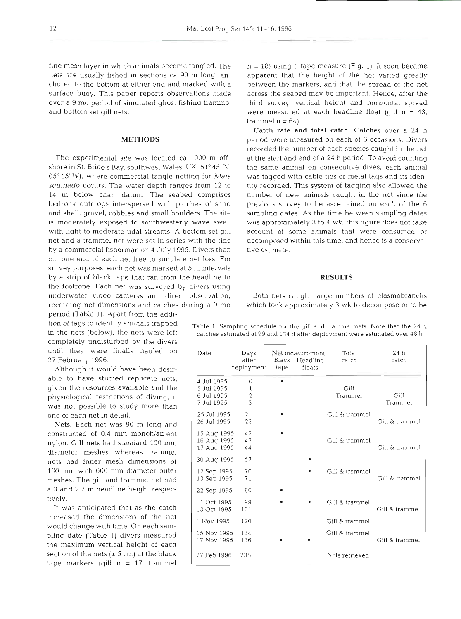nets are usually fished in sections ca 90 m long, an- apparent that the height of the net varied greatly chored to the bottom at either end and marked with a between the markers, and that the spread of the net surface buoy. This paper reports observations made across the seabed may be important. Hence, after the over a 9 mo period of simulated ghost fishing trammel third survey, vertical height and horizontal spread and bottom set gill nets.

## METHODS

shore in St. Bride's Bay, southwest Wales, UK (51" 45' N, the same animal on consecutive dives, each animal 05° 15' W), where commercial tangle netting for  $Maja$  was tagged with cable ties or metal tags and its idensquinado occurs. The water depth ranges from 12 to tity recorded. This system of tagging also allowed the 14 m below chart datum. The seabed comprises number of new animals caught in the net since the bedrock outcrops interspersed with patches of sand previous survey to be ascertained on each of the 6 and shell, gravel, cobbles and small boulders. The site sampling dates. As the time between sampling dates is moderately exposed to southwesterly wave swell was approximately 3 to 4 wk, this figure does not take with light to moderate tidal streams. A bottom set gill account of some animals that were consumed or net and a trammel net were set in series with the tide decomposed within this time, and hence is a conservaby a commercial fisherman on 4 July 1995. Divers then tive estimate. cut one end of each net free to simulate net loss. For survey purposes, each net was marked at 5 m intervals by a strip of black tape that ran from the headline to **RESULTS** the footrope. Each net was surveyed by divers using underwater video cameras and direct observation, Both nets caught large numbers of elasmobranchs recording net dimensions and catches during a 9 mo which took approximately **3** wk to decompose or to be

period (Table 1). Apart from the addition of tags to identify animals trapped in the nets (below), the nets were left completely undisturbed by the divers until they were finally hauled on 27 February 1996.

Although it would have been desirable to have studied replicate nets, given the resources available and the physiological restrictions of diving, it was not possible to study more than one of each net in detail.

**Nets.** Each net was 90 m long and constructed of 0.4 mm monofilament nylon. Gill nets had standard 100 mm<br>diameter meshes whereas trammel nets had inner mesh dimensions of 100 mm with 600 mm diameter outer meshes. The gill and trammel net had. a **3** and 2.7 m headline height respectively.

increased the dimensions of the net would change with time. On each sampling date (Table 1) divers measured the maximum vertical height of each It was anticipated that as the catch section of the nets  $(\pm 5 \text{ cm})$  at the black tape markers (gill  $n = 17$ , trammel

fine mesh layer in which animals become tangled. The  $n = 18$ ) using a tape measure (Fig. 1). It soon became were measured at each headline float (gill  $n = 43$ , trammel  $n = 64$ ).

**Catch rate and total catch.** Catches over a 24 h period were measured on each of 6 occasions. Divers recorded the number of each species caught in the net The experimental site was located ca 1000 m off- at the start and end of a 24 h period. To avoid counting

Table 1 Sampling schedule for the gill and trammel nets. Note that the 24 h catches estimated at 99 and 134 d after deployment were estimated over 48 h

| Date                                                 | Days<br>after<br>deployment    | Black<br>tape | Net measurement<br>Headline<br>floats | Total<br>catch  | 24 <sub>h</sub><br>catch |  |
|------------------------------------------------------|--------------------------------|---------------|---------------------------------------|-----------------|--------------------------|--|
| 4 Jul 1995<br>5 Jul 1995<br>6 Jul 1995<br>7 Jul 1995 | $\Omega$<br>1<br>$\frac{2}{3}$ |               |                                       | Gill<br>Trammel | Gill<br>Trammel          |  |
| 25 Jul 1995<br>26 Jul 1995                           | 21<br>22                       |               |                                       | Gill & trammel  | Gill & trammel           |  |
| 15 Aug 1995<br>16 Aug 1995<br>17 Aug 1995            | 42<br>43<br>44                 |               |                                       | Gill & trammel  | Gill & trammel           |  |
| 30 Aug 1995                                          | 57                             |               |                                       |                 |                          |  |
| 12 Sep 1995<br>13 Sep 1995                           | 70<br>71                       |               |                                       | Gill & trammel  | Gill & trammel           |  |
| 22 Sep 1995                                          | 80                             |               |                                       |                 |                          |  |
| 11 Oct 1995<br>13 Oct 1995                           | 99<br>101                      |               |                                       | Gill & trammel  | Gill & trammel           |  |
| 1 Nov 1995                                           | 120                            |               |                                       | Gill & trammel  |                          |  |
| 15 Nov 1995<br>17 Nov 1995                           | 134<br>136                     |               |                                       | Gill & trammel  | Gill & trammel           |  |
| 27 Feb 1996                                          | 238                            |               |                                       | Nets retrieved  |                          |  |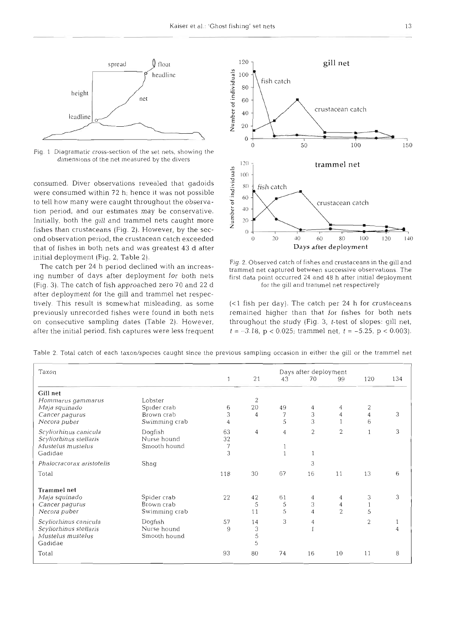

Fig. 1 Diagramatic cross-section of the set nets, showing the dimensions of the net measured by the divers

consumed. Diver observations revealed that gadoids were consumed within 72 h; hence it was not possible to tell how many were caught throughout the observa- **<sup>o</sup>** tion period, and our estimates may be conservative.  $\frac{1}{6}$  40 Initially, both the gill and trammel nets caught more **5** <sup>20</sup> fishes than crustaceans (Fig. 2). However, by the secthat of fishes in both nets and was greatest 43 d after **Days after deployment** 

(Fig. 3). The catch of fish approached zero 70 and 22 d for the gill and trammel net respectively after deployment for the gill and trammel net respectively. This result is somewhat misleading, as some (<1 fish per day). The catch per 24 h for crustaceans



- -

initial deployment (Fig. 2, Table 2).<br>The catch per 24 h period declined with an increas-<br>ing number of days after deployment for both nets first data point occurred 24 and 48 h after initial deployment

previously unrecorded fishes were found in both nets remained higher than that for fishes for both nets on consecutive sampling dates (Table 2). However, throughout the study (Fig. 3, t-test of slopes: gill net, after the initial period, fish captures were less frequent  $t = -3.18$ ,  $p < 0.025$ ; trammel net,  $t = -5.25$ ,  $p < 0.003$ ).

| Taxon                     | Days after deployment |                |    |                |    |                |                |     |
|---------------------------|-----------------------|----------------|----|----------------|----|----------------|----------------|-----|
|                           |                       |                | 21 | 43             | 70 | 99             | 120            | 134 |
| Gill net                  |                       |                |    |                |    |                |                |     |
| Hommarus gammarus         | Lobster               |                | 2  |                |    |                |                |     |
| Maja squinado             | Spider crab           | 6              | 20 | 49             | 4  | 4              | 2              |     |
| Cancer pagurus            | Brown crab            | 3              | 4  | 7              | 3  | 4              | 4              | 3   |
| Necora puber              | Swimming crab         | $\overline{4}$ |    | 5              | 3  |                | 6              |     |
| Scyliorhinus canicula     | Dogfish               | 63             | 4  | $\overline{4}$ | 2  | $\overline{2}$ | 1              | 3   |
| Scyliorhinus stellaris    | Nurse hound           | 32             |    |                |    |                |                |     |
| Mustelus mustelus         | Smooth hound          | 7              |    |                |    |                |                |     |
| Gadidae                   |                       | 3              |    |                |    |                |                |     |
| Phalocracorax aristotelis | Shaq                  |                |    |                | 3  |                |                |     |
| Total                     |                       | 118            | 30 | 67             | 16 | 11             | 13             | 6   |
| <b>Trammel net</b>        |                       |                |    |                |    |                |                |     |
| Maja squinado             | Spider crab           | 22             | 42 | 61             | 4  | 4              | 3              | 3   |
| Cancer pagurus            | Brown crab            |                | 5  | 5              | 3  | 4              |                |     |
| Necora puber              | Swimming crab         |                | 11 | 5              | 4  | $\overline{c}$ | 5              |     |
| Scyliorhinus canicula     | Dogfish               | 57             | 14 | 3              | 4  |                | $\overline{2}$ |     |
| Scyliorhinus stellaris    | Nurse hound           | 9              | 3  |                |    |                |                | 4   |
| Mustelus mustelus         | Smooth hound          |                | 5  |                |    |                |                |     |
| Gadidae                   |                       |                | 5  |                |    |                |                |     |
| Total                     |                       | 93             | 80 | 74             | 16 | 10             | 11             | 8   |

Table 2 Total catch of each taxon/species caught since the previous sampling occasion in either the gill or the trammel net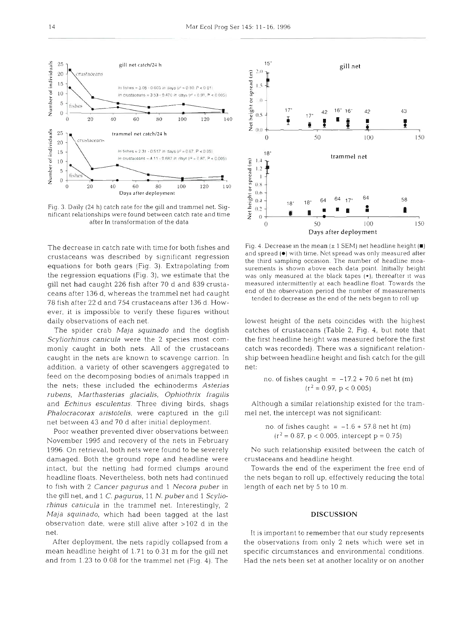

Fig. **3.** Daily (24 h) catch rate for the gill and trammel net. **Siy**nificant relationships were found between catch rate and time after In transformation of the data

The decrease in catch rate with time for both fishes and crustaceans was described by significant regression equations for both gears (Fig. 3). Extrapolating from the regression equations (Fig. 3), we estimate that the gill net had caught 226 fish after 70 d and 839 crustaceans after 136 d, whereas the trammel net had caught 78 fish after 22 d and 754 crustaceans after 136 d. However, it is impossible to verify these figures without daily observations of each net.

The spider crab *Maja squinado* and the dogfish *Scyliorhinus canicula* were the 2 species most commonly caught in both nets. All of the crustaceans caught in the nets are known to scavenge carrion. In addition, a variety of other scavengers aggregated to feed on the decomposing bodies of animals trapped in the nets; these included the echinoderms *Asterias rubens, Marthasterias glacialis, Ophiothrix fragilis*  and *Echinus esculentus.* Three diving birds, shags *Phalocracorax aristotelis,* were captured in the gill net between 43 and 70 d after initial deployment.

Poor weather prevented diver observations between November 1995 and recovery of the nets in February 1996. On retrieval, both nets were found to be severely damaged. Both the ground rope and headline were intact, but the netting had formed clumps around headline floats. Nevertheless, both nets had continued to fish with 2 *Cancer pagurus* and 1 *Necora puber* in the gill net, and 1 *C. pagurus,* 11 *N.* puberand 1 *Scyliorhinus canicula* in the trammel net. Interestingly, 2 *Maja squiaado,* which had been tagged at the last observation date, were still alive after >l02 d in the net.

After deployment, the nets rapidly collapsed from a mean headline height of 1.71 to 0 31 m for the gill net and from 1.23 to 0.08 for the trammel net (Fig. 4). The



Fig. 4. Decrease in the mean  $(\pm 1 \text{ SEM})$  net headline height  $(\blacksquare)$ and spread ( $\bullet$ ) with time. Net spread was only measured after the third sampling occasion. The number of headline measurements is shown above each data point. Initially height was only measured at the black tapes  $(*)$ ; thereafter it was measured intermittently at each headline float. Towards the end of the observation period the number of measurements tended to decrease as the end of the nets began to roll up

lowest height of the nets coincides with the highest catches of crustaceans (Table 2, Fig. 4, but note that the first headline height was measured before the first catch was recorded). There was a significant relationship between headline height and fish catch for the gill net:

no. of fishes caught = 
$$
-17.2 + 70.6
$$
 net ht (m)  
 $(r^2 = 0.97, p < 0.005)$ 

Although a similar relationship existed for the trammel net, the intercept was not significant:

no. of fishes caught = 
$$
-1.6 + 57.8
$$
 net ht (m)  
(r<sup>2</sup> = 0.87, p < 0.005, intercept p = 0.75)

No such relationship exisited between the catch of crustaceans and headline height.

Towards the end of the experiment the free end of the nets began to roll up, effectively reducing the total length of each net by 5 to 10 m.

### DISCUSSION

It is important to remember that our study represents the observations from only 2 nets which were set in specific circumstances and environmental conditions. Had the nets been set at another locality or on another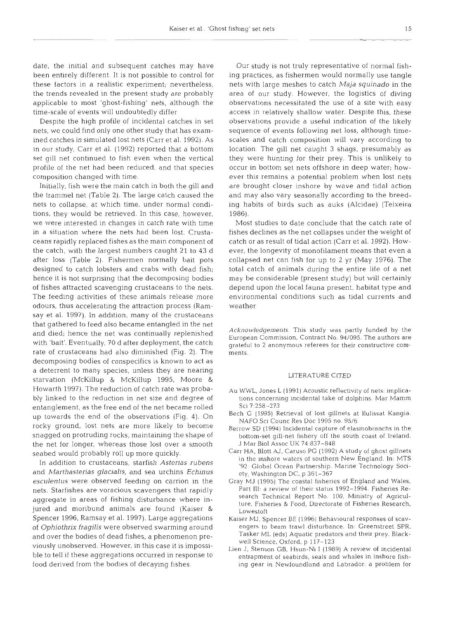date, the initial and subsequent catches may have been entirely different. It is not possible to control for these factors in a realistic experiment; nevertheless, the trends revealed in the present study are probably applicable to most 'ghost-fishing' nets, although the time-scale of events will undoubtedly differ

Despite the high profile of incidental catches in set nets, we could flnd only one other study that has examined catches in simulated lost nets (Carr et al. 1992). As in our study, Carr et al. (1992) reported that a bottom set gill net continued to fish even when the vertical profile of the net had been reduced, and that species composition changed with time.

Initially, fish were the main catch in both the gill and the trammel net (Table 2). The large catch caused the nets to collapse, at which time, under normal conditions, they would be retrieved. In this case, however, we were interested in changes in catch rate with time in a situation where the nets had been lost. Crustaceans rapidly replaced fishes as the main component of the catch, with the largest numbers caught 21 to 43 d after loss (Table 2). Fishermen normally bait pots designed to catch lobsters and crabs with dead fish; hence it is not surprising that the decomposing bodies of fishes attracted scavenging crustaceans to the nets. The feeding activities of these animals release more odours, thus accelerating the attraction process (Ramsay et al. 1997). In addition, many of the crustaceans that gathered to feed also became entangled in the net and died; hence the net was continually replenished with 'bait'. Eventually, 70 d after deployment, the catch rate of crustaceans had also diminished (Fig. 2). The decomposing bodies of conspecifics is known to act as a deterrent to many species, unless they are nearing starvation (McKillup & McKillup 1995, Moore & Howarth 1997). The reduction of catch rate was probably linked to the reduction in net size and degree of entanglement, as the free end of the net became rolled up towards the end of the observations (Fig. 4). On rocky ground, lost nets are more likely to become snagged on protruding rocks, maintaining the shape of the net for longer, whereas those lost over a smooth seabed would probably roll up more quickly.

In addition to crustaceans, starfish *Asterias rubens*  and *Marthasterias glacialis,* and sea urchins *Echlnus esculentus* were observed feeding on carrion in the nets. Starfishes are voracious scavengers that rapidly aggregate in areas of fishing disturbance where injured and moribund animals are found (Kaiser & Spencer 1996, Ramsay et al. 1997). Large aggregations of *Ophiothrix fragilis* were observed swarming around and over the bodies of dead fishes, a phenomenon previously unobserved. However, in this case it is impossible to tell if these aggregations occurred in response to food derived from the bodies of decaying fishes.

Our study is not truly representative of normal fishing practices, as fishermen would normally use tangle nets with large meshes to catch *Maja squinado* in the area of our study. However, the logistics of diving observations necessitated the use of a site with easy access in relatively shallow water. Despite this, these observations provide a useful indication of the likely sequence of events following net loss, although timescales and catch composition will vary according to location. The gill net caught 3 shags, presumably as they were hunting for their prey. This is unlikely to occur in bottom set nets offshore in deep water; however this remains a potential problem when lost nets are brought closer inshore by wave and tidal action and may also vary seasonally according to the breeding habits of birds such as auks (Alcidae) (Teixeira 1986).

Most studies to date conclude that the catch rate of fishes declines as the net collapses under the weight of catch or as result of tidal action (Carr et al. 1992). However, the longevity of monofilament means that even a collapsed net can fish for up to 2 yr (May 1976). The total catch of animals during the entire life of a net may be considerable (present study) but will certainly depend upon the local fauna present, habitat type and environmental conditions such as tidal currents and weather

*Acknorvledgements.* This study was partly funded by the European Commission, Contract No. 94/095. The authors are grateful to 2 anonymous referees for their constructive comments

### LlTERATURE CITED

- Au WWL, Jones L (1991) Acoustic reflectivity of nets: implications concerning incidental take of dolphins. Mar Mamm SCI 7 258-273
- Bech G (1995) Retrieval of lost gillnets at llulissat Kangia. NAFO Sci Counc Res Doc 1995 no. 95/6
- Berrow SD (1994) Incidental capture of elasmobranchs in the bottom-set gill-net fishery off the south coast of Ireland. J Mar Biol Assoc UK 74 837-848
- Carr HA, Blott AJ, Caruso PG (1992) A study of ghost gillnets in the inshore waters of southern New England. In: MTS '92: Global Ocean Partnership. Marine Technology Society, Washington DC, p 361-367
- Gray MJ (1995) The coastal fisheries of England and Wales, Part 111: a review of their status 1992-1994. Fisheries Research Technical Report No. 100, Ministry of Agriculture, Fisheries & Food, Directorate of Fisheries Research, Lowestoft
- Kaiser MJ, Spencer BE (1996) Behavioural responses of scavengers to beam trawl disturbance. In: Greenstreet SPR, Tasker ML (eds) Aquatic predators and their prey. Blackwell Science, Oxford, p 117-123
- Lien J, Stenson GB, Hsun-Ni I (1989) A review of incidental entrapment of seabirds, seals and whales in inshore fishing gear in Newfoundland and Labrador. a problem for